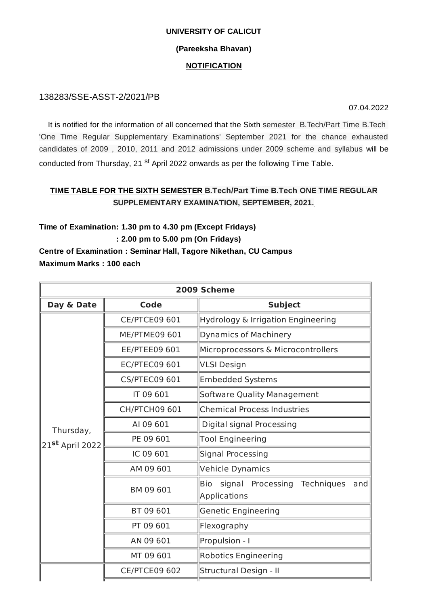#### **UNIVERSITY OF CALICUT**

### **(Pareeksha Bhavan)**

### **NOTIFICATION**

## 138283/SSE-ASST-2/2021/PB

07.04.2022

It is notified for the information of all concerned that the Sixth semester B.Tech/Part Time B.Tech 'One Time Regular Supplementary Examinations' September 2021 for the chance exhausted candidates of 2009 , 2010, 2011 and 2012 admissions under 2009 scheme and syllabus will be conducted from Thursday, 21 <sup>st</sup> April 2022 onwards as per the following Time Table.

## **TIME TABLE FOR THE SIXTH SEMESTER B.Tech/Part Time B.Tech ONE TIME REGULAR SUPPLEMENTARY EXAMINATION, SEPTEMBER, 2021.**

**Time of Examination: 1.30 pm to 4.30 pm (Except Fridays) : 2.00 pm to 5.00 pm (On Fridays)**

# **Centre of Examination : Seminar Hall, Tagore Nikethan, CU Campus Maximum Marks : 100 each**

| 2009 Scheme                  |                      |                                                               |  |  |
|------------------------------|----------------------|---------------------------------------------------------------|--|--|
| Day & Date                   | <b>Code</b>          | <b>Subject</b>                                                |  |  |
| Thursday,<br>21st April 2022 | <b>CE/PTCE09 601</b> | Hydrology & Irrigation Engineering                            |  |  |
|                              | ME/PTME09 601        | <b>Dynamics of Machinery</b>                                  |  |  |
|                              | <b>EE/PTEE09 601</b> | Microprocessors & Microcontrollers                            |  |  |
|                              | <b>EC/PTEC09 601</b> | VLSI Design                                                   |  |  |
|                              | <b>CS/PTEC09 601</b> | <b>Embedded Systems</b>                                       |  |  |
|                              | IT 09 601            | Software Quality Management                                   |  |  |
|                              | CH/PTCH09 601        | <b>Chemical Process Industries</b>                            |  |  |
|                              | AI 09 601            | Digital signal Processing                                     |  |  |
|                              | PE 09 601            | <b>Tool Engineering</b>                                       |  |  |
|                              | IC 09 601            | Signal Processing                                             |  |  |
|                              | AM 09 601            | Vehicle Dynamics                                              |  |  |
|                              | BM 09 601            | signal Processing<br>Techniques<br>Bio<br>and<br>Applications |  |  |
|                              | BT 09 601            | <b>Genetic Engineering</b>                                    |  |  |
|                              | PT 09 601            | Flexography                                                   |  |  |
|                              | AN 09 601            | Propulsion - I                                                |  |  |
|                              | MT 09 601            | Robotics Engineering                                          |  |  |
|                              | <b>CE/PTCE09 602</b> | Structural Design - II                                        |  |  |
|                              |                      |                                                               |  |  |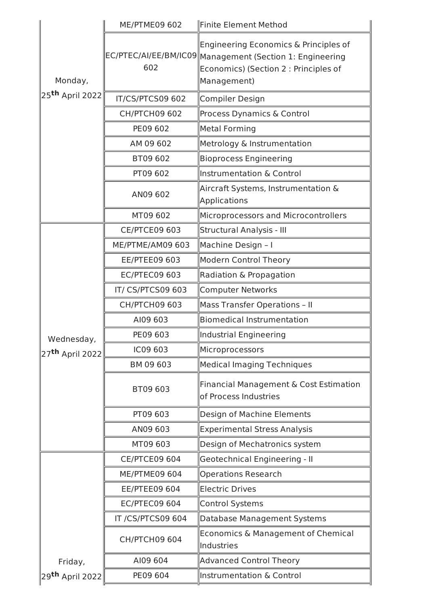|                             | <b>ME/PTME09 602</b> | Finite Element Method                                                                                                                                     |
|-----------------------------|----------------------|-----------------------------------------------------------------------------------------------------------------------------------------------------------|
| Monday,                     | 602                  | Engineering Economics & Principles of<br>EC/PTEC/AI/EE/BM/IC09 Management (Section 1: Engineering<br>Economics) (Section 2 : Principles of<br>Management) |
| 25 <sup>th</sup> April 2022 | IT/CS/PTCS09 602     | Compiler Design                                                                                                                                           |
|                             | <b>CH/PTCH09 602</b> | Process Dynamics & Control                                                                                                                                |
|                             | PE09 602             | Metal Forming                                                                                                                                             |
|                             | AM 09 602            | Metrology & Instrumentation                                                                                                                               |
|                             | BT09 602             | <b>Bioprocess Engineering</b>                                                                                                                             |
|                             | PT09 602             | Instrumentation & Control                                                                                                                                 |
|                             | AN09 602             | Aircraft Systems, Instrumentation &<br>Applications                                                                                                       |
|                             | MT09 602             | Microprocessors and Microcontrollers                                                                                                                      |
|                             | <b>CE/PTCE09 603</b> | Structural Analysis - III                                                                                                                                 |
|                             | ME/PTME/AM09 603     | Machine Design - I                                                                                                                                        |
|                             | EE/PTEE09 603        | Modern Control Theory                                                                                                                                     |
|                             | <b>EC/PTEC09 603</b> | Radiation & Propagation                                                                                                                                   |
|                             | IT/CS/PTCS09 603     | Computer Networks                                                                                                                                         |
| Wednesday,                  | <b>CH/PTCH09 603</b> | <b>Mass Transfer Operations - II</b>                                                                                                                      |
|                             | AI09 603             | Biomedical Instrumentation                                                                                                                                |
|                             | PE09 603             | Industrial Engineering                                                                                                                                    |
| 27 <sup>th</sup> April 2022 | IC09 603             | Microprocessors                                                                                                                                           |
|                             | BM 09 603            | Medical Imaging Techniques                                                                                                                                |
|                             | BT09 603             | Financial Management & Cost Estimation<br>of Process Industries                                                                                           |
|                             | PT09 603             | Design of Machine Elements                                                                                                                                |
|                             | AN09 603             | <b>Experimental Stress Analysis</b>                                                                                                                       |
|                             | MT09 603             | Design of Mechatronics system                                                                                                                             |
|                             | <b>CE/PTCE09 604</b> | Geotechnical Engineering - II                                                                                                                             |
|                             | <b>ME/PTME09 604</b> | <b>Operations Research</b>                                                                                                                                |
|                             | <b>EE/PTEE09 604</b> | <b>Electric Drives</b>                                                                                                                                    |
|                             | <b>EC/PTEC09 604</b> | Control Systems                                                                                                                                           |
|                             | IT /CS/PTCS09 604    | Database Management Systems                                                                                                                               |
|                             | <b>CH/PTCH09 604</b> | Economics & Management of Chemical<br>Industries                                                                                                          |
| Friday,                     | AI09 604             | <b>Advanced Control Theory</b>                                                                                                                            |
| 29 <sup>th</sup> April 2022 | PE09 604             | Instrumentation & Control                                                                                                                                 |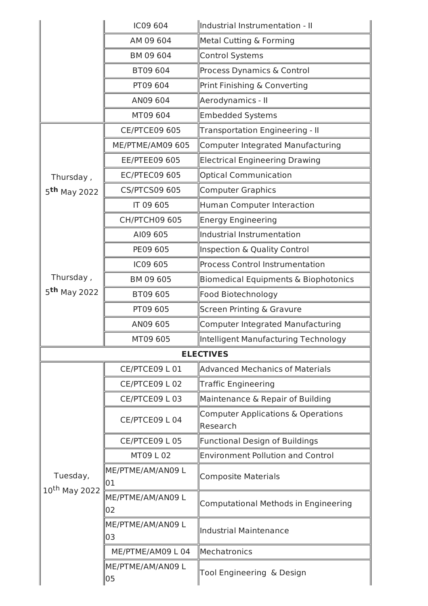|                                       | IC09 604                | Industrial Instrumentation - II                |  |  |
|---------------------------------------|-------------------------|------------------------------------------------|--|--|
|                                       | AM 09 604               | Metal Cutting & Forming                        |  |  |
|                                       | BM 09 604               | <b>Control Systems</b>                         |  |  |
|                                       | BT09 604                | Process Dynamics & Control                     |  |  |
|                                       | PT09 604                | Print Finishing & Converting                   |  |  |
|                                       | AN09 604                | Aerodynamics - II                              |  |  |
|                                       | MT09 604                | <b>Embedded Systems</b>                        |  |  |
|                                       | <b>CE/PTCE09 605</b>    | Transportation Engineering - II                |  |  |
|                                       | ME/PTME/AM09 605        | Computer Integrated Manufacturing              |  |  |
|                                       | <b>EE/PTEE09 605</b>    | <b>Electrical Engineering Drawing</b>          |  |  |
| Thursday,                             | <b>EC/PTEC09 605</b>    | <b>Optical Communication</b>                   |  |  |
| 5 <sup>th</sup> May 2022              | <b>CS/PTCS09 605</b>    | <b>Computer Graphics</b>                       |  |  |
|                                       | IT 09 605               | Human Computer Interaction                     |  |  |
|                                       | <b>CH/PTCH09 605</b>    | <b>Energy Engineering</b>                      |  |  |
|                                       | AI09 605                | Industrial Instrumentation                     |  |  |
|                                       | PE09 605                | Inspection & Quality Control                   |  |  |
|                                       | IC09 605                | <b>Process Control Instrumentation</b>         |  |  |
| Thursday,                             | BM 09 605               | Biomedical Equipments & Biophotonics           |  |  |
| 5 <sup>th</sup> May 2022              | BT09 605                | Food Biotechnology                             |  |  |
|                                       | PT09 605                | <b>Screen Printing &amp; Gravure</b>           |  |  |
|                                       | AN09 605                | Computer Integrated Manufacturing              |  |  |
|                                       | MT09 605                | Intelligent Manufacturing Technology           |  |  |
| <b>ELECTIVES</b>                      |                         |                                                |  |  |
|                                       | CE/PTCE09 L 01          | Advanced Mechanics of Materials                |  |  |
|                                       | CE/PTCE09 L 02          | Traffic Engineering                            |  |  |
|                                       | CE/PTCE09 L03           | Maintenance & Repair of Building               |  |  |
|                                       | CE/PTCE09 L04           | Computer Applications & Operations<br>Research |  |  |
|                                       | CE/PTCE09 L 05          | <b>Functional Design of Buildings</b>          |  |  |
| Tuesday,<br>10 <sup>th</sup> May 2022 | MT09 L 02               | <b>Environment Pollution and Control</b>       |  |  |
|                                       | ME/PTME/AM/AN09 L<br>01 | <b>Composite Materials</b>                     |  |  |
|                                       | ME/PTME/AM/AN09 L<br>02 | Computational Methods in Engineering           |  |  |
|                                       | ME/PTME/AM/AN09 L<br>03 | Industrial Maintenance                         |  |  |
|                                       | ME/PTME/AM09 L 04       | Mechatronics                                   |  |  |
|                                       | ME/PTME/AM/AN09 L<br>05 | Tool Engineering & Design                      |  |  |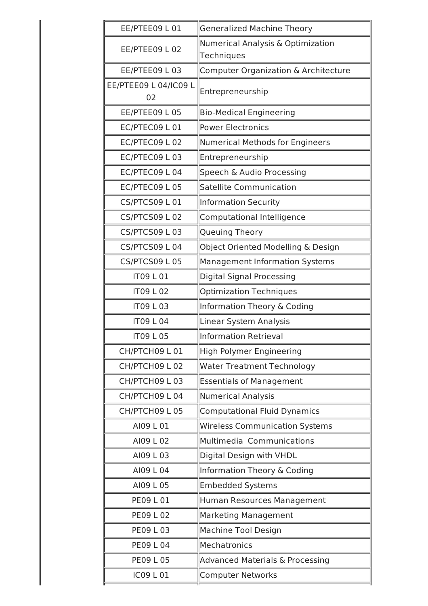| EE/PTEE09 L 01              | <b>Generalized Machine Theory</b>               |  |
|-----------------------------|-------------------------------------------------|--|
| EE/PTEE09 L 02              | Numerical Analysis & Optimization<br>Techniques |  |
| EE/PTEE09 L03               | Computer Organization & Architecture            |  |
| EE/PTEE09 L 04/IC09 L<br>02 | Entrepreneurship                                |  |
| EE/PTEE09 L05               | <b>Bio-Medical Engineering</b>                  |  |
| EC/PTEC09 L01               | <b>Power Electronics</b>                        |  |
| EC/PTEC09 L02               | Numerical Methods for Engineers                 |  |
| EC/PTEC09 L03               | Entrepreneurship                                |  |
| EC/PTEC09 L04               | Speech & Audio Processing                       |  |
| EC/PTEC09 L05               | Satellite Communication                         |  |
| CS/PTCS09 L01               | Information Security                            |  |
| <b>CS/PTCS09 L02</b>        | Computational Intelligence                      |  |
| CS/PTCS09 L03               | Queuing Theory                                  |  |
| CS/PTCS09 L04               | Object Oriented Modelling & Design              |  |
| CS/PTCS09 L05               | Management Information Systems                  |  |
| <b>IT09 L 01</b>            | <b>Digital Signal Processing</b>                |  |
| <b>IT09 L 02</b>            | <b>Optimization Techniques</b>                  |  |
| <b>IT09 L03</b>             | Information Theory & Coding                     |  |
| <b>IT09 L04</b>             | Linear System Analysis                          |  |
| <b>IT09 L05</b>             | Information Retrieval                           |  |
| CH/PTCH09 L01               | High Polymer Engineering                        |  |
| CH/PTCH09 L02               | <b>Water Treatment Technology</b>               |  |
| CH/PTCH09 L03               | <b>Essentials of Management</b>                 |  |
| CH/PTCH09 L04               | Numerical Analysis                              |  |
| CH/PTCH09 L05               | <b>Computational Fluid Dynamics</b>             |  |
| AI09 L 01                   | <b>Wireless Communication Systems</b>           |  |
| AI09 L 02                   | Multimedia Communications                       |  |
| AI09 L 03                   | Digital Design with VHDL                        |  |
| AI09 L 04                   | Information Theory & Coding                     |  |
| AI09 L 05                   | <b>Embedded Systems</b>                         |  |
| PE09 L 01                   | Human Resources Management                      |  |
| <b>PE09 L 02</b>            | <b>Marketing Management</b>                     |  |
| PE09 L 03                   | <b>Machine Tool Design</b>                      |  |
| <b>PE09 L 04</b>            | Mechatronics                                    |  |
| <b>PE09 L 05</b>            | Advanced Materials & Processing                 |  |
| IC09 L 01                   | <b>Computer Networks</b>                        |  |